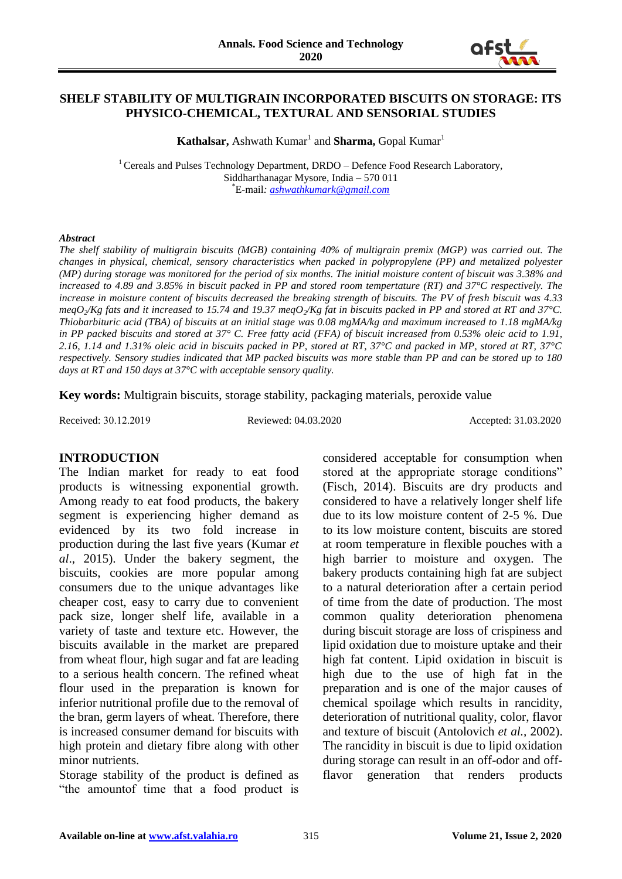

#### **SHELF STABILITY OF MULTIGRAIN INCORPORATED BISCUITS ON STORAGE: ITS PHYSICO-CHEMICAL, TEXTURAL AND SENSORIAL STUDIES**

**Kathalsar, Ashwath Kumar<sup>1</sup> and Sharma, Gopal Kumar<sup>1</sup>** 

<sup>1</sup> Cereals and Pulses Technology Department, DRDO – Defence Food Research Laboratory, Siddharthanagar Mysore, India – 570 011 \*E-mail*: [ashwathkumark@gmail.com](mailto:ashwathkumark@gmail.com)*

#### *Abstract*

*The shelf stability of multigrain biscuits (MGB) containing 40% of multigrain premix (MGP) was carried out. The changes in physical, chemical, sensory characteristics when packed in polypropylene (PP) and metalized polyester (MP) during storage was monitored for the period of six months. The initial moisture content of biscuit was 3.38% and increased to 4.89 and 3.85% in biscuit packed in PP and stored room tempertature (RT) and 37°C respectively. The increase in moisture content of biscuits decreased the breaking strength of biscuits. The PV of fresh biscuit was 4.33 meqO2/Kg fats and it increased to 15.74 and 19.37 meqO2/Kg fat in biscuits packed in PP and stored at RT and 37°C. Thiobarbituric acid (TBA) of biscuits at an initial stage was 0.08 mgMA/kg and maximum increased to 1.18 mgMA/kg in PP packed biscuits and stored at 37° C. Free fatty acid (FFA) of biscuit increased from 0.53% oleic acid to 1.91, 2.16, 1.14 and 1.31% oleic acid in biscuits packed in PP, stored at RT, 37°C and packed in MP, stored at RT, 37°C respectively. Sensory studies indicated that MP packed biscuits was more stable than PP and can be stored up to 180 days at RT and 150 days at 37°C with acceptable sensory quality.* 

**Key words:** Multigrain biscuits, storage stability, packaging materials, peroxide value

Received: 30.12.2019 Reviewed: 04.03.2020 Accepted: 31.03.2020

#### **INTRODUCTION**

The Indian market for ready to eat food products is witnessing exponential growth. Among ready to eat food products, the bakery segment is experiencing higher demand as evidenced by its two fold increase in production during the last five years (Kumar *et al*., 2015). Under the bakery segment, the biscuits, cookies are more popular among consumers due to the unique advantages like cheaper cost, easy to carry due to convenient pack size, longer shelf life, available in a variety of taste and texture etc. However, the biscuits available in the market are prepared from wheat flour, high sugar and fat are leading to a serious health concern. The refined wheat flour used in the preparation is known for inferior nutritional profile due to the removal of the bran, germ layers of wheat. Therefore, there is increased consumer demand for biscuits with high protein and dietary fibre along with other minor nutrients.

Storage stability of the product is defined as "the amountof time that a food product is considered acceptable for consumption when stored at the appropriate storage conditions" (Fisch, 2014). Biscuits are dry products and considered to have a relatively longer shelf life due to its low moisture content of 2-5 %. Due to its low moisture content, biscuits are stored at room temperature in flexible pouches with a high barrier to moisture and oxygen. The bakery products containing high fat are subject to a natural deterioration after a certain period of time from the date of production. The most common quality deterioration phenomena during biscuit storage are loss of crispiness and lipid oxidation due to moisture uptake and their high fat content. Lipid oxidation in biscuit is high due to the use of high fat in the preparation and is one of the major causes of chemical spoilage which results in rancidity, deterioration of nutritional quality, color, flavor and texture of biscuit (Antolovich *et al.,* 2002). The rancidity in biscuit is due to lipid oxidation during storage can result in an off-odor and offflavor generation that renders products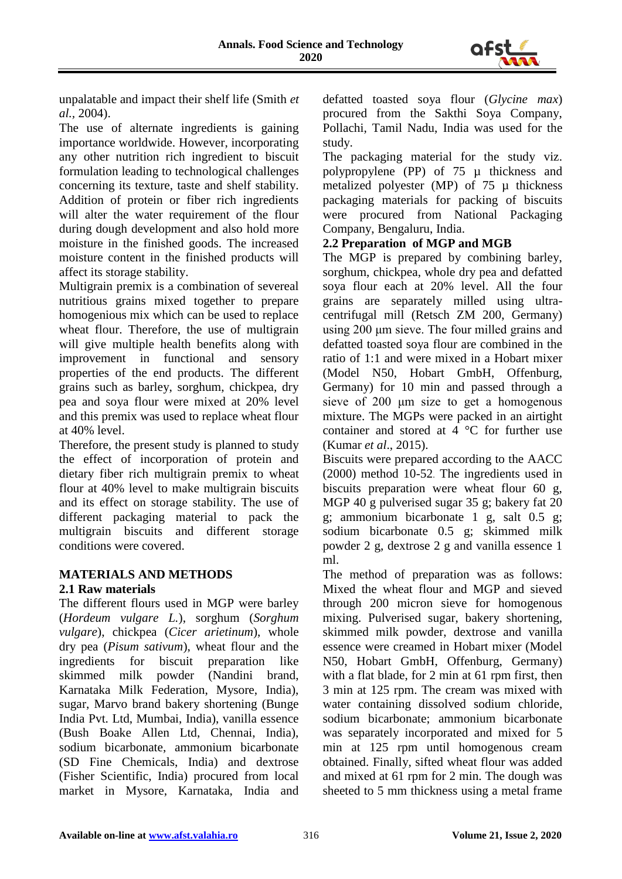

unpalatable and impact their shelf life (Smith *et al.,* 2004).

The use of alternate ingredients is gaining importance worldwide. However, incorporating any other nutrition rich ingredient to biscuit formulation leading to technological challenges concerning its texture, taste and shelf stability. Addition of protein or fiber rich ingredients will alter the water requirement of the flour during dough development and also hold more moisture in the finished goods. The increased moisture content in the finished products will affect its storage stability.

Multigrain premix is a combination of severeal nutritious grains mixed together to prepare homogenious mix which can be used to replace wheat flour. Therefore, the use of multigrain will give multiple health benefits along with improvement in functional and sensory properties of the end products. The different grains such as barley, sorghum, chickpea, dry pea and soya flour were mixed at 20% level and this premix was used to replace wheat flour at 40% level.

Therefore, the present study is planned to study the effect of incorporation of protein and dietary fiber rich multigrain premix to wheat flour at 40% level to make multigrain biscuits and its effect on storage stability. The use of different packaging material to pack the multigrain biscuits and different storage conditions were covered.

# **MATERIALS AND METHODS**

# **2.1 Raw materials**

The different flours used in MGP were barley (*Hordeum vulgare L.*), sorghum (*Sorghum vulgare*), chickpea (*Cicer arietinum*), whole dry pea (*Pisum sativum*), wheat flour and the ingredients for biscuit preparation like skimmed milk powder (Nandini brand, Karnataka Milk Federation, Mysore, India), sugar, Marvo brand bakery shortening (Bunge India Pvt. Ltd, Mumbai, India), vanilla essence (Bush Boake Allen Ltd, Chennai, India), sodium bicarbonate, ammonium bicarbonate (SD Fine Chemicals, India) and dextrose (Fisher Scientific, India) procured from local market in Mysore, Karnataka, India and defatted toasted soya flour (*Glycine max*) procured from the Sakthi Soya Company, Pollachi, Tamil Nadu, India was used for the study.

The packaging material for the study viz. polypropylene (PP) of 75 µ thickness and metalized polyester (MP) of 75 µ thickness packaging materials for packing of biscuits were procured from National Packaging Company, Bengaluru, India.

# **2.2 Preparation of MGP and MGB**

The MGP is prepared by combining barley, sorghum, chickpea, whole dry pea and defatted soya flour each at 20% level. All the four grains are separately milled using ultracentrifugal mill (Retsch ZM 200, Germany) using 200 μm sieve. The four milled grains and defatted toasted soya flour are combined in the ratio of 1:1 and were mixed in a Hobart mixer (Model N50, Hobart GmbH, Offenburg, Germany) for 10 min and passed through a sieve of 200 μm size to get a homogenous mixture. The MGPs were packed in an airtight container and stored at 4 °C for further use (Kumar *et al*., 2015).

Biscuits were prepared according to the AACC (2000) method 10-52. The ingredients used in biscuits preparation were wheat flour 60 g, MGP 40 g pulverised sugar 35 g; bakery fat 20 g; ammonium bicarbonate 1 g, salt 0.5 g; sodium bicarbonate 0.5 g; skimmed milk powder 2 g, dextrose 2 g and vanilla essence 1 ml.

The method of preparation was as follows: Mixed the wheat flour and MGP and sieved through 200 micron sieve for homogenous mixing. Pulverised sugar, bakery shortening, skimmed milk powder, dextrose and vanilla essence were creamed in Hobart mixer (Model N50, Hobart GmbH, Offenburg, Germany) with a flat blade, for 2 min at 61 rpm first, then 3 min at 125 rpm. The cream was mixed with water containing dissolved sodium chloride, sodium bicarbonate; ammonium bicarbonate was separately incorporated and mixed for 5 min at 125 rpm until homogenous cream obtained. Finally, sifted wheat flour was added and mixed at 61 rpm for 2 min. The dough was sheeted to 5 mm thickness using a metal frame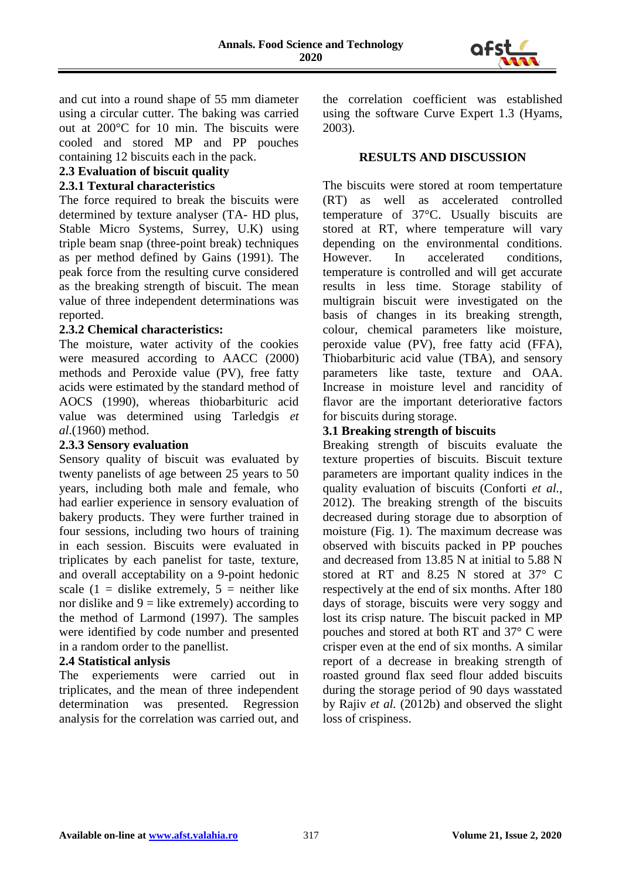

and cut into a round shape of 55 mm diameter using a circular cutter. The baking was carried out at 200°C for 10 min. The biscuits were cooled and stored MP and PP pouches containing 12 biscuits each in the pack.

#### **2.3 Evaluation of biscuit quality**

#### **2.3.1 Textural characteristics**

The force required to break the biscuits were determined by texture analyser (TA- HD plus, Stable Micro Systems, Surrey, U.K) using triple beam snap (three-point break) techniques as per method defined by Gains (1991). The peak force from the resulting curve considered as the breaking strength of biscuit. The mean value of three independent determinations was reported.

#### **2.3.2 Chemical characteristics:**

The moisture, water activity of the cookies were measured according to AACC (2000) methods and Peroxide value (PV), free fatty acids were estimated by the standard method of AOCS (1990), whereas thiobarbituric acid value was determined using Tarledgis *et al*.(1960) method.

# **2.3.3 Sensory evaluation**

Sensory quality of biscuit was evaluated by twenty panelists of age between 25 years to 50 years, including both male and female, who had earlier experience in sensory evaluation of bakery products. They were further trained in four sessions, including two hours of training in each session. Biscuits were evaluated in triplicates by each panelist for taste, texture, and overall acceptability on a 9-point hedonic scale  $(1 - \text{dislike extremely}, 5 - \text{neither like})$ nor dislike and  $9 =$  like extremely) according to the method of Larmond (1997). The samples were identified by code number and presented in a random order to the panellist.

# **2.4 Statistical anlysis**

The experiements were carried out in triplicates, and the mean of three independent determination was presented. Regression analysis for the correlation was carried out, and the correlation coefficient was established using the software Curve Expert 1.3 (Hyams, 2003).

# **RESULTS AND DISCUSSION**

The biscuits were stored at room tempertature (RT) as well as accelerated controlled temperature of 37°C. Usually biscuits are stored at RT, where temperature will vary depending on the environmental conditions. However. In accelerated conditions, temperature is controlled and will get accurate results in less time. Storage stability of multigrain biscuit were investigated on the basis of changes in its breaking strength, colour, chemical parameters like moisture, peroxide value (PV), free fatty acid (FFA), Thiobarbituric acid value (TBA), and sensory parameters like taste, texture and OAA. Increase in moisture level and rancidity of flavor are the important deteriorative factors for biscuits during storage.

# **3.1 Breaking strength of biscuits**

Breaking strength of biscuits evaluate the texture properties of biscuits. Biscuit texture parameters are important quality indices in the quality evaluation of biscuits (Conforti *et al.,* 2012). The breaking strength of the biscuits decreased during storage due to absorption of moisture (Fig. 1). The maximum decrease was observed with biscuits packed in PP pouches and decreased from 13.85 N at initial to 5.88 N stored at RT and 8.25 N stored at 37° C respectively at the end of six months. After 180 days of storage, biscuits were very soggy and lost its crisp nature. The biscuit packed in MP pouches and stored at both RT and 37° C were crisper even at the end of six months. A similar report of a decrease in breaking strength of roasted ground flax seed flour added biscuits during the storage period of 90 days wasstated by Rajiv *et al.* (2012b) and observed the slight loss of crispiness.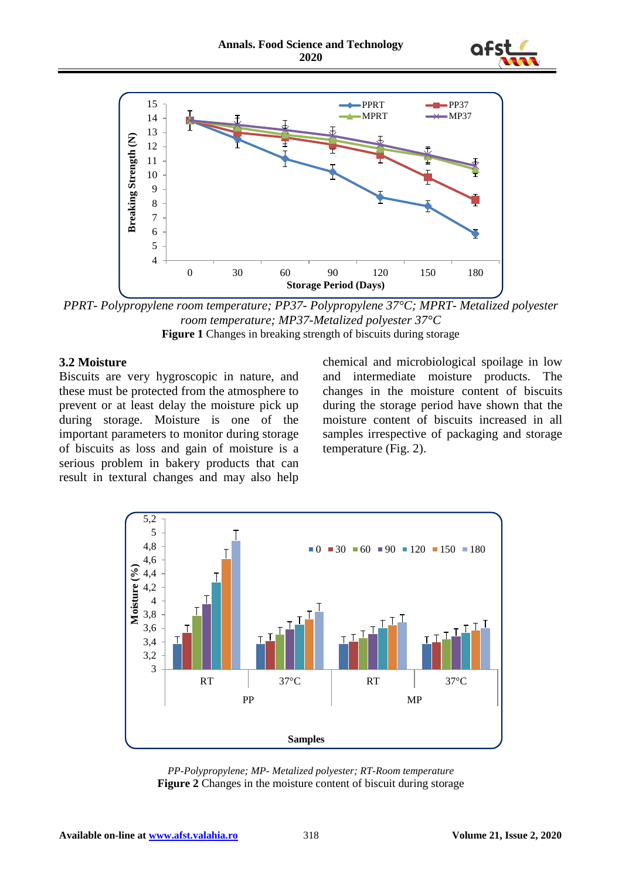



*PPRT- Polypropylene room temperature; PP37- Polypropylene 37°C; MPRT- Metalized polyester room temperature; MP37-Metalized polyester 37°C* **Figure 1** Changes in breaking strength of biscuits during storage

#### **3.2 Moisture**

Biscuits are very hygroscopic in nature, and these must be protected from the atmosphere to prevent or at least delay the moisture pick up during storage. Moisture is one of the important parameters to monitor during storage of biscuits as loss and gain of moisture is a serious problem in bakery products that can result in textural changes and may also help chemical and microbiological spoilage in low and intermediate moisture products. The changes in the moisture content of biscuits during the storage period have shown that the moisture content of biscuits increased in all samples irrespective of packaging and storage temperature (Fig. 2).



*PP-Polypropylene; MP- Metalized polyester; RT-Room temperature* **Figure 2** Changes in the moisture content of biscuit during storage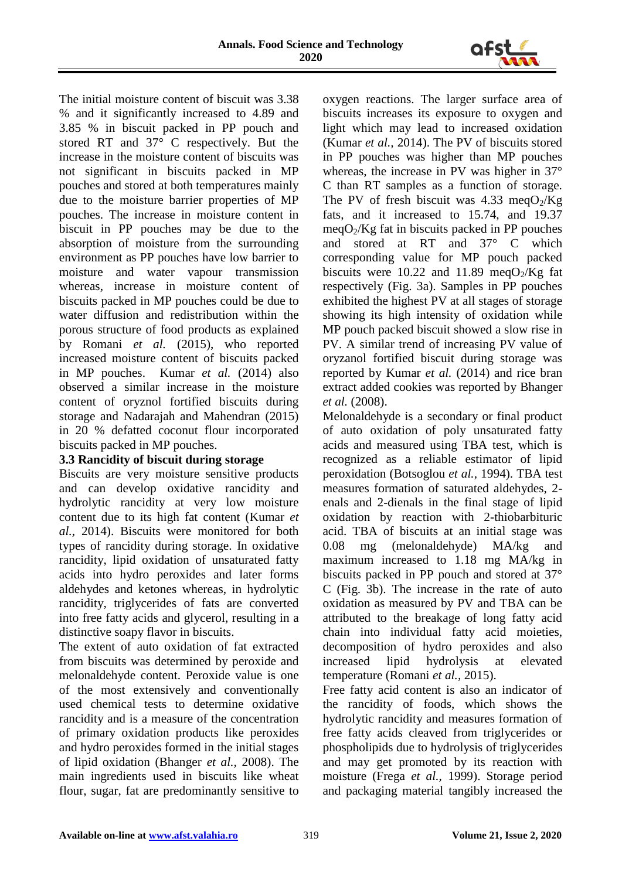

The initial moisture content of biscuit was 3.38 % and it significantly increased to 4.89 and 3.85 % in biscuit packed in PP pouch and stored RT and 37° C respectively. But the increase in the moisture content of biscuits was not significant in biscuits packed in MP pouches and stored at both temperatures mainly due to the moisture barrier properties of MP pouches. The increase in moisture content in biscuit in PP pouches may be due to the absorption of moisture from the surrounding environment as PP pouches have low barrier to moisture and water vapour transmission whereas, increase in moisture content of biscuits packed in MP pouches could be due to water diffusion and redistribution within the porous structure of food products as explained by Romani *et al.* (2015), who reported increased moisture content of biscuits packed in MP pouches. Kumar *et al.* (2014) also observed a similar increase in the moisture content of oryznol fortified biscuits during storage and Nadarajah and Mahendran (2015) in 20 % defatted coconut flour incorporated biscuits packed in MP pouches.

# **3.3 Rancidity of biscuit during storage**

Biscuits are very moisture sensitive products and can develop oxidative rancidity and hydrolytic rancidity at very low moisture content due to its high fat content (Kumar *et al.,* 2014). Biscuits were monitored for both types of rancidity during storage. In oxidative rancidity, lipid oxidation of unsaturated fatty acids into hydro peroxides and later forms aldehydes and ketones whereas, in hydrolytic rancidity, triglycerides of fats are converted into free fatty acids and glycerol, resulting in a distinctive soapy flavor in biscuits.

The extent of auto oxidation of fat extracted from biscuits was determined by peroxide and melonaldehyde content. Peroxide value is one of the most extensively and conventionally used chemical tests to determine oxidative rancidity and is a measure of the concentration of primary oxidation products like peroxides and hydro peroxides formed in the initial stages of lipid oxidation (Bhanger *et al.,* 2008). The main ingredients used in biscuits like wheat flour, sugar, fat are predominantly sensitive to oxygen reactions. The larger surface area of biscuits increases its exposure to oxygen and light which may lead to increased oxidation (Kumar *et al.,* 2014). The PV of biscuits stored in PP pouches was higher than MP pouches whereas, the increase in PV was higher in 37° C than RT samples as a function of storage. The PV of fresh biscuit was 4.33 meq $O_2/Kg$ fats, and it increased to 15.74, and 19.37  $meqO<sub>2</sub>/Kg$  fat in biscuits packed in PP pouches and stored at RT and 37° C which corresponding value for MP pouch packed biscuits were 10.22 and 11.89 meqO $_2$ /Kg fat respectively (Fig. 3a). Samples in PP pouches exhibited the highest PV at all stages of storage showing its high intensity of oxidation while MP pouch packed biscuit showed a slow rise in PV. A similar trend of increasing PV value of oryzanol fortified biscuit during storage was reported by Kumar *et al.* (2014) and rice bran extract added cookies was reported by Bhanger *et al.* (2008).

Melonaldehyde is a secondary or final product of auto oxidation of poly unsaturated fatty acids and measured using TBA test, which is recognized as a reliable estimator of lipid peroxidation (Botsoglou *et al.,* 1994). TBA test measures formation of saturated aldehydes, 2 enals and 2-dienals in the final stage of lipid oxidation by reaction with 2-thiobarbituric acid. TBA of biscuits at an initial stage was 0.08 mg (melonaldehyde) MA/kg and maximum increased to 1.18 mg MA/kg in biscuits packed in PP pouch and stored at 37° C (Fig. 3b). The increase in the rate of auto oxidation as measured by PV and TBA can be attributed to the breakage of long fatty acid chain into individual fatty acid moieties, decomposition of hydro peroxides and also increased lipid hydrolysis at elevated temperature (Romani *et al.,* 2015).

Free fatty acid content is also an indicator of the rancidity of foods, which shows the hydrolytic rancidity and measures formation of free fatty acids cleaved from triglycerides or phospholipids due to hydrolysis of triglycerides and may get promoted by its reaction with moisture (Frega *et al.,* 1999). Storage period and packaging material tangibly increased the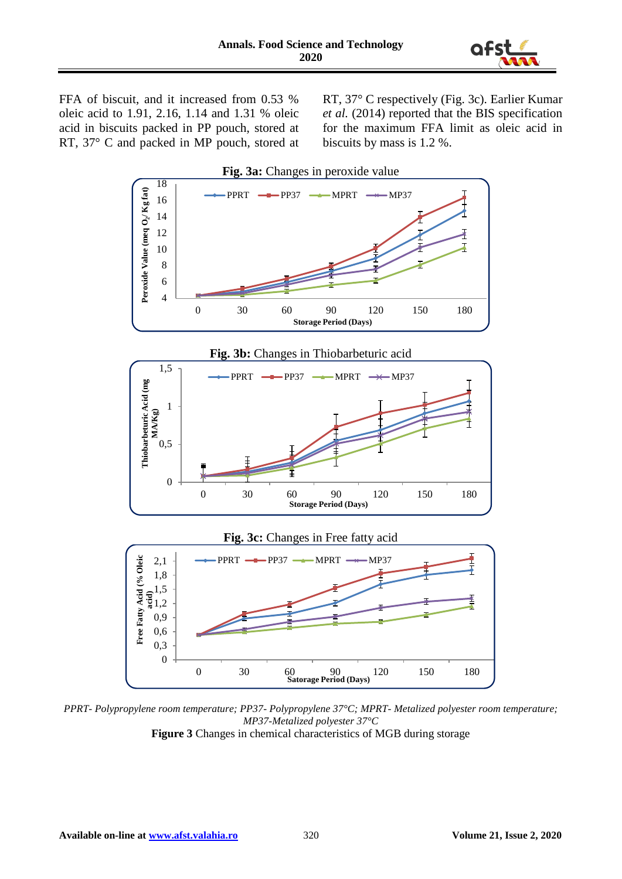

FFA of biscuit, and it increased from 0.53 % oleic acid to 1.91, 2.16, 1.14 and 1.31 % oleic acid in biscuits packed in PP pouch, stored at RT, 37° C and packed in MP pouch, stored at RT, 37° C respectively (Fig. 3c). Earlier Kumar *et al.* (2014) reported that the BIS specification for the maximum FFA limit as oleic acid in biscuits by mass is 1.2 %.



*PPRT- Polypropylene room temperature; PP37- Polypropylene 37°C; MPRT- Metalized polyester room temperature; MP37-Metalized polyester 37°C*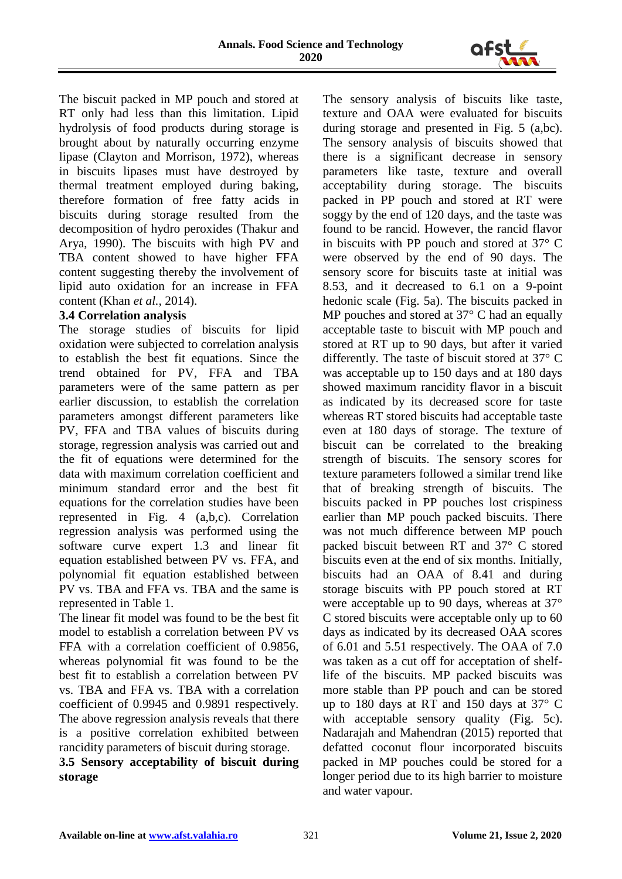

The biscuit packed in MP pouch and stored at RT only had less than this limitation. Lipid hydrolysis of food products during storage is brought about by naturally occurring enzyme lipase (Clayton and Morrison, 1972), whereas in biscuits lipases must have destroyed by thermal treatment employed during baking, therefore formation of free fatty acids in biscuits during storage resulted from the decomposition of hydro peroxides (Thakur and Arya, 1990). The biscuits with high PV and TBA content showed to have higher FFA content suggesting thereby the involvement of lipid auto oxidation for an increase in FFA content (Khan *et al.,* 2014).

## **3.4 Correlation analysis**

The storage studies of biscuits for lipid oxidation were subjected to correlation analysis to establish the best fit equations. Since the trend obtained for PV, FFA and TBA parameters were of the same pattern as per earlier discussion, to establish the correlation parameters amongst different parameters like PV, FFA and TBA values of biscuits during storage, regression analysis was carried out and the fit of equations were determined for the data with maximum correlation coefficient and minimum standard error and the best fit equations for the correlation studies have been represented in Fig. 4 (a,b,c). Correlation regression analysis was performed using the software curve expert 1.3 and linear fit equation established between PV vs. FFA, and polynomial fit equation established between PV vs. TBA and FFA vs. TBA and the same is represented in Table 1.

The linear fit model was found to be the best fit model to establish a correlation between PV vs FFA with a correlation coefficient of 0.9856, whereas polynomial fit was found to be the best fit to establish a correlation between PV vs. TBA and FFA vs. TBA with a correlation coefficient of 0.9945 and 0.9891 respectively. The above regression analysis reveals that there is a positive correlation exhibited between rancidity parameters of biscuit during storage.

# **3.5 Sensory acceptability of biscuit during storage**

The sensory analysis of biscuits like taste, texture and OAA were evaluated for biscuits during storage and presented in Fig. 5 (a,bc). The sensory analysis of biscuits showed that there is a significant decrease in sensory parameters like taste, texture and overall acceptability during storage. The biscuits packed in PP pouch and stored at RT were soggy by the end of 120 days, and the taste was found to be rancid. However, the rancid flavor in biscuits with PP pouch and stored at 37° C were observed by the end of 90 days. The sensory score for biscuits taste at initial was 8.53, and it decreased to 6.1 on a 9-point hedonic scale (Fig. 5a). The biscuits packed in MP pouches and stored at 37° C had an equally acceptable taste to biscuit with MP pouch and stored at RT up to 90 days, but after it varied differently. The taste of biscuit stored at 37° C was acceptable up to 150 days and at 180 days showed maximum rancidity flavor in a biscuit as indicated by its decreased score for taste whereas RT stored biscuits had acceptable taste even at 180 days of storage. The texture of biscuit can be correlated to the breaking strength of biscuits. The sensory scores for texture parameters followed a similar trend like that of breaking strength of biscuits. The biscuits packed in PP pouches lost crispiness earlier than MP pouch packed biscuits. There was not much difference between MP pouch packed biscuit between RT and 37° C stored biscuits even at the end of six months. Initially, biscuits had an OAA of 8.41 and during storage biscuits with PP pouch stored at RT were acceptable up to 90 days, whereas at 37<sup>o</sup> C stored biscuits were acceptable only up to 60 days as indicated by its decreased OAA scores of 6.01 and 5.51 respectively. The OAA of 7.0 was taken as a cut off for acceptation of shelflife of the biscuits. MP packed biscuits was more stable than PP pouch and can be stored up to 180 days at RT and 150 days at  $37^{\circ}$  C with acceptable sensory quality (Fig. 5c). Nadarajah and Mahendran (2015) reported that defatted coconut flour incorporated biscuits packed in MP pouches could be stored for a longer period due to its high barrier to moisture and water vapour.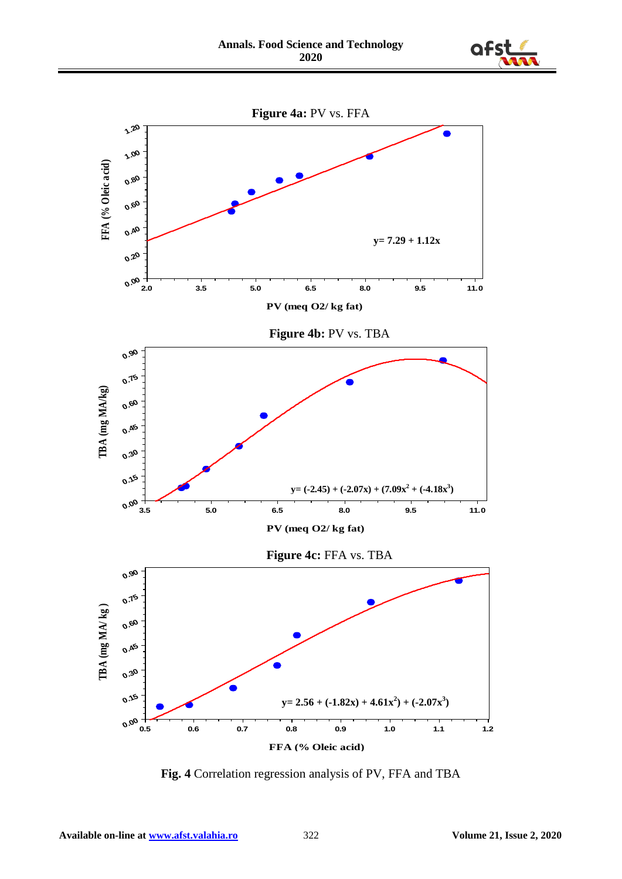



**Fig. 4** Correlation regression analysis of PV, FFA and TBA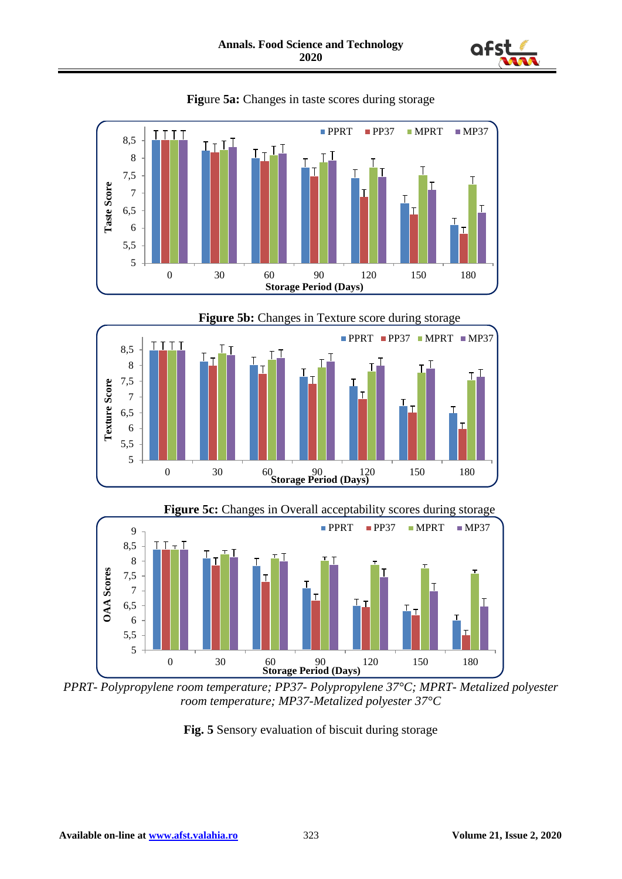











*PPRT- Polypropylene room temperature; PP37- Polypropylene 37°C; MPRT- Metalized polyester room temperature; MP37-Metalized polyester 37°C*

**Fig. 5** Sensory evaluation of biscuit during storage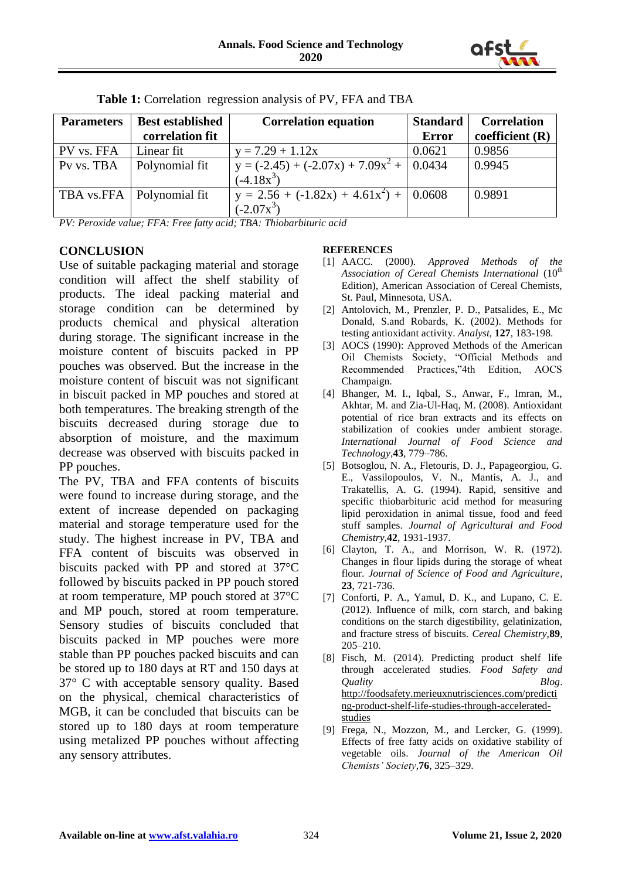

| <b>Parameters</b> | <b>Best established</b>     | <b>Correlation equation</b>                     | <b>Standard</b> | <b>Correlation</b> |
|-------------------|-----------------------------|-------------------------------------------------|-----------------|--------------------|
|                   | correlation fit             |                                                 | Error           | coefficient $(R)$  |
| PV vs. FFA        | Linear fit                  | $y = 7.29 + 1.12x$                              | 0.0621          | 0.9856             |
| Pv vs. TBA        | Polynomial fit              | $y = (-2.45) + (-2.07x) + 7.09x^{2} +   0.0434$ |                 | 0.9945             |
|                   |                             | $(-4.18x^3)$                                    |                 |                    |
|                   | TBA vs.FFA   Polynomial fit | $y = 2.56 + (-1.82x) + 4.61x^{2} + 0.0608$      |                 | 0.9891             |
|                   |                             | $(-2.07x^3)$                                    |                 |                    |

**Table 1:** Correlation regression analysis of PV, FFA and TBA

*PV: Peroxide value; FFA: Free fatty acid; TBA: Thiobarbituric acid*

## **CONCLUSION**

Use of suitable packaging material and storage condition will affect the shelf stability of products. The ideal packing material and storage condition can be determined by products chemical and physical alteration during storage. The significant increase in the moisture content of biscuits packed in PP pouches was observed. But the increase in the moisture content of biscuit was not significant in biscuit packed in MP pouches and stored at both temperatures. The breaking strength of the biscuits decreased during storage due to absorption of moisture, and the maximum decrease was observed with biscuits packed in PP pouches.

The PV, TBA and FFA contents of biscuits were found to increase during storage, and the extent of increase depended on packaging material and storage temperature used for the study. The highest increase in PV, TBA and FFA content of biscuits was observed in biscuits packed with PP and stored at 37°C followed by biscuits packed in PP pouch stored at room temperature, MP pouch stored at 37°C and MP pouch, stored at room temperature. Sensory studies of biscuits concluded that biscuits packed in MP pouches were more stable than PP pouches packed biscuits and can be stored up to 180 days at RT and 150 days at 37° C with acceptable sensory quality. Based on the physical, chemical characteristics of MGB, it can be concluded that biscuits can be stored up to 180 days at room temperature using metalized PP pouches without affecting any sensory attributes.

#### **REFERENCES**

- [1] AACC. (2000). *Approved Methods of the*  Association of Cereal Chemists International (10<sup>th</sup>) Edition), American Association of Cereal Chemists, St. Paul, Minnesota, USA.
- [2] Antolovich, M., Prenzler, P. D., Patsalides, E., Mc Donald, S.and Robards, K. (2002). Methods for testing antioxidant activity. *Analyst*, **127**, 183-198.
- [3] AOCS (1990): Approved Methods of the American Oil Chemists Society, "Official Methods and Recommended Practices,"4th Edition, AOCS Champaign.
- [4] Bhanger, M. I., Iqbal, S., Anwar, F., Imran, M., Akhtar, M. and Zia-Ul-Haq, M. (2008). Antioxidant potential of rice bran extracts and its effects on stabilization of cookies under ambient storage. *International Journal of Food Science and Technology*,**43**, 779–786.
- [5] Botsoglou, N. A., Fletouris, D. J., Papageorgiou, G. E., Vassilopoulos, V. N., Mantis, A. J., and Trakatellis, A. G. (1994). Rapid, sensitive and specific thiobarbituric acid method for measuring lipid peroxidation in animal tissue, food and feed stuff samples. *Journal of Agricultural and Food Chemistry,***42**, 1931-1937.
- [6] Clayton, T. A., and Morrison, W. R. (1972). Changes in flour lipids during the storage of wheat flour. *Journal of Science of Food and Agriculture*, **23**, 721-736.
- [7] Conforti, P. A., Yamul, D. K., and Lupano, C. E. (2012). Influence of milk, corn starch, and baking conditions on the starch digestibility, gelatinization, and fracture stress of biscuits. *Cereal Chemistry,***89**, 205–210.
- [8] Fisch, M. (2014). Predicting product shelf life through accelerated studies. *Food Safety and Quality Blog*. [http://foodsafety.merieuxnutrisciences.com/predicti](http://foodsafety.merieuxnutrisciences.com/predicting-product-shelf-life-studies-through-accelerated-studies) [ng-product-shelf-life-studies-through-accelerated](http://foodsafety.merieuxnutrisciences.com/predicting-product-shelf-life-studies-through-accelerated-studies)[studies](http://foodsafety.merieuxnutrisciences.com/predicting-product-shelf-life-studies-through-accelerated-studies)
- [9] Frega, N., Mozzon, M., and Lercker, G. (1999). Effects of free fatty acids on oxidative stability of vegetable oils. *Journal of the American Oil Chemists' Society*,**76**, 325–329.